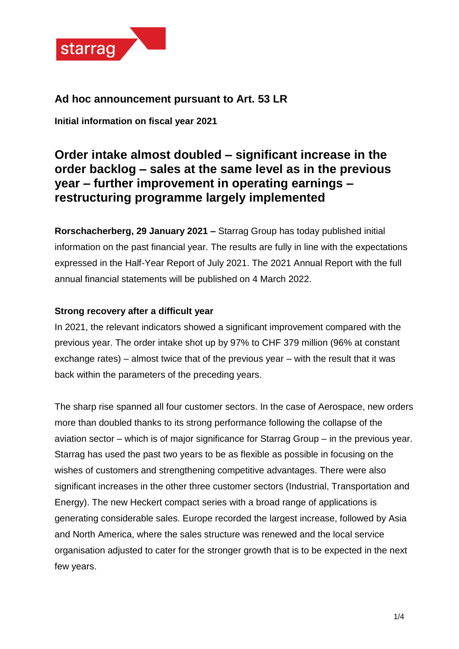

## **Ad hoc announcement pursuant to Art. 53 LR**

**Initial information on fiscal year 2021**

# **Order intake almost doubled – significant increase in the order backlog – sales at the same level as in the previous year – further improvement in operating earnings – restructuring programme largely implemented**

**Rorschacherberg, 29 January 2021 –** Starrag Group has today published initial information on the past financial year. The results are fully in line with the expectations expressed in the Half-Year Report of July 2021. The 2021 Annual Report with the full annual financial statements will be published on 4 March 2022.

## **Strong recovery after a difficult year**

In 2021, the relevant indicators showed a significant improvement compared with the previous year. The order intake shot up by 97% to CHF 379 million (96% at constant exchange rates) – almost twice that of the previous year – with the result that it was back within the parameters of the preceding years.

The sharp rise spanned all four customer sectors. In the case of Aerospace, new orders more than doubled thanks to its strong performance following the collapse of the aviation sector – which is of major significance for Starrag Group – in the previous year. Starrag has used the past two years to be as flexible as possible in focusing on the wishes of customers and strengthening competitive advantages. There were also significant increases in the other three customer sectors (Industrial, Transportation and Energy). The new Heckert compact series with a broad range of applications is generating considerable sales. Europe recorded the largest increase, followed by Asia and North America, where the sales structure was renewed and the local service organisation adjusted to cater for the stronger growth that is to be expected in the next few years.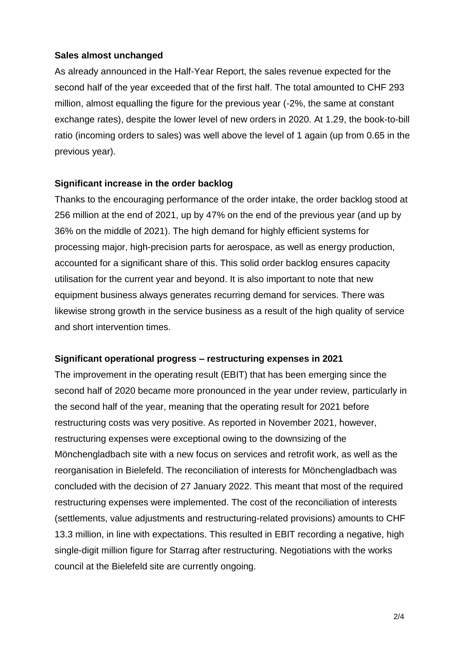## **Sales almost unchanged**

As already announced in the Half-Year Report, the sales revenue expected for the second half of the year exceeded that of the first half. The total amounted to CHF 293 million, almost equalling the figure for the previous year (-2%, the same at constant exchange rates), despite the lower level of new orders in 2020. At 1.29, the book-to-bill ratio (incoming orders to sales) was well above the level of 1 again (up from 0.65 in the previous year).

## **Significant increase in the order backlog**

Thanks to the encouraging performance of the order intake, the order backlog stood at 256 million at the end of 2021, up by 47% on the end of the previous year (and up by 36% on the middle of 2021). The high demand for highly efficient systems for processing major, high-precision parts for aerospace, as well as energy production, accounted for a significant share of this. This solid order backlog ensures capacity utilisation for the current year and beyond. It is also important to note that new equipment business always generates recurring demand for services. There was likewise strong growth in the service business as a result of the high quality of service and short intervention times.

## **Significant operational progress – restructuring expenses in 2021**

The improvement in the operating result (EBIT) that has been emerging since the second half of 2020 became more pronounced in the year under review, particularly in the second half of the year, meaning that the operating result for 2021 before restructuring costs was very positive. As reported in November 2021, however, restructuring expenses were exceptional owing to the downsizing of the Mönchengladbach site with a new focus on services and retrofit work, as well as the reorganisation in Bielefeld. The reconciliation of interests for Mönchengladbach was concluded with the decision of 27 January 2022. This meant that most of the required restructuring expenses were implemented. The cost of the reconciliation of interests (settlements, value adjustments and restructuring-related provisions) amounts to CHF 13.3 million, in line with expectations. This resulted in EBIT recording a negative, high single-digit million figure for Starrag after restructuring. Negotiations with the works council at the Bielefeld site are currently ongoing.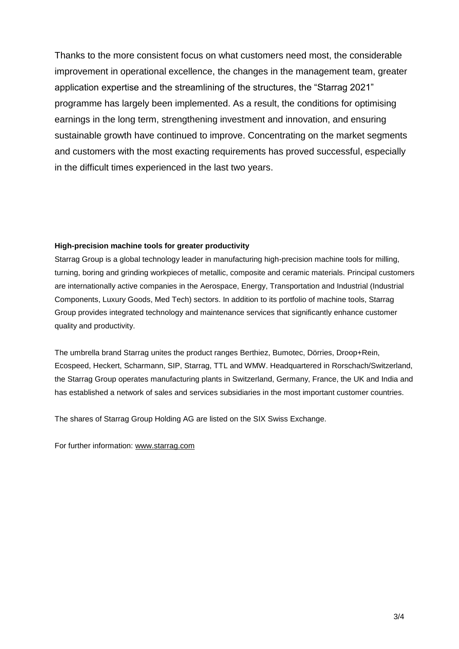Thanks to the more consistent focus on what customers need most, the considerable improvement in operational excellence, the changes in the management team, greater application expertise and the streamlining of the structures, the "Starrag 2021" programme has largely been implemented. As a result, the conditions for optimising earnings in the long term, strengthening investment and innovation, and ensuring sustainable growth have continued to improve. Concentrating on the market segments and customers with the most exacting requirements has proved successful, especially in the difficult times experienced in the last two years.

#### **High-precision machine tools for greater productivity**

Starrag Group is a global technology leader in manufacturing high-precision machine tools for milling, turning, boring and grinding workpieces of metallic, composite and ceramic materials. Principal customers are internationally active companies in the Aerospace, Energy, Transportation and Industrial (Industrial Components, Luxury Goods, Med Tech) sectors. In addition to its portfolio of machine tools, Starrag Group provides integrated technology and maintenance services that significantly enhance customer quality and productivity.

The umbrella brand Starrag unites the product ranges Berthiez, Bumotec, Dörries, Droop+Rein, Ecospeed, Heckert, Scharmann, SIP, Starrag, TTL and WMW. Headquartered in Rorschach/Switzerland, the Starrag Group operates manufacturing plants in Switzerland, Germany, France, the UK and India and has established a network of sales and services subsidiaries in the most important customer countries.

The shares of Starrag Group Holding AG are listed on the SIX Swiss Exchange.

For further information: [www.starrag.com](https://investor.starrag.com/en-us/frontend/default/index)